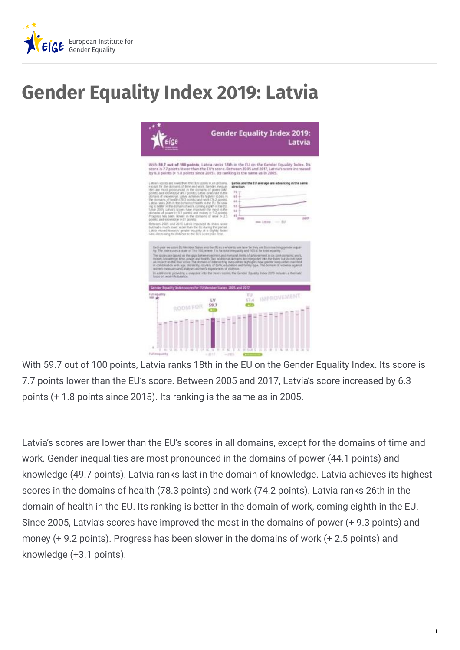

## **Gender Equality Index 2019: Latvia**



With 59.7 out of 100 points, Latvia ranks 18th in the EU on the Gender Equality Index. Its score is 7.7 points lower than the EU's score. Between 2005 and 2017, Latvia's score increased by 6.3 points (+ 1.8 points since 2015). Its ranking is the same as in 2005.

Latvia's scores are lower than the EU's scores in all domains, except for the domains of time and work. Gender inequalities are most pronounced in the domains of power (44.1 points) and knowledge (49.7 points). Latvia ranks last in the domain of knowledge. Latvia achieves its highest scores in the domains of health (78.3 points) and work (74.2 points). Latvia ranks 26th in the domain of health in the EU. Its ranking is better in the domain of work, coming eighth in the EU. Since 2005, Latvia's scores have improved the most in the domains of power (+ 9.3 points) and money (+ 9.2 points). Progress has been slower in the domains of work (+ 2.5 points) and knowledge (+3.1 points).